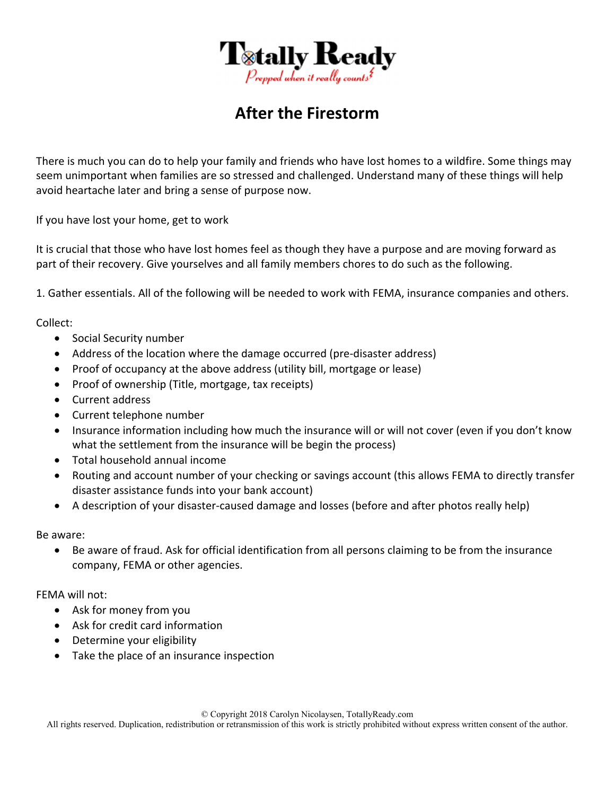

## **After the Firestorm**

There is much you can do to help your family and friends who have lost homes to a wildfire. Some things may seem unimportant when families are so stressed and challenged. Understand many of these things will help avoid heartache later and bring a sense of purpose now.

If you have lost your home, get to work

It is crucial that those who have lost homes feel as though they have a purpose and are moving forward as part of their recovery. Give yourselves and all family members chores to do such as the following.

1. Gather essentials. All of the following will be needed to work with FEMA, insurance companies and others.

Collect:

- Social Security number
- Address of the location where the damage occurred (pre-disaster address)
- Proof of occupancy at the above address (utility bill, mortgage or lease)
- Proof of ownership (Title, mortgage, tax receipts)
- Current address
- Current telephone number
- Insurance information including how much the insurance will or will not cover (even if you don't know what the settlement from the insurance will be begin the process)
- Total household annual income
- Routing and account number of your checking or savings account (this allows FEMA to directly transfer disaster assistance funds into your bank account)
- A description of your disaster-caused damage and losses (before and after photos really help)

Be aware:

 Be aware of fraud. Ask for official identification from all persons claiming to be from the insurance company, FEMA or other agencies.

FEMA will not:

- Ask for money from you
- Ask for credit card information
- Determine your eligibility
- Take the place of an insurance inspection

© Copyright 2018 Carolyn Nicolaysen, TotallyReady.com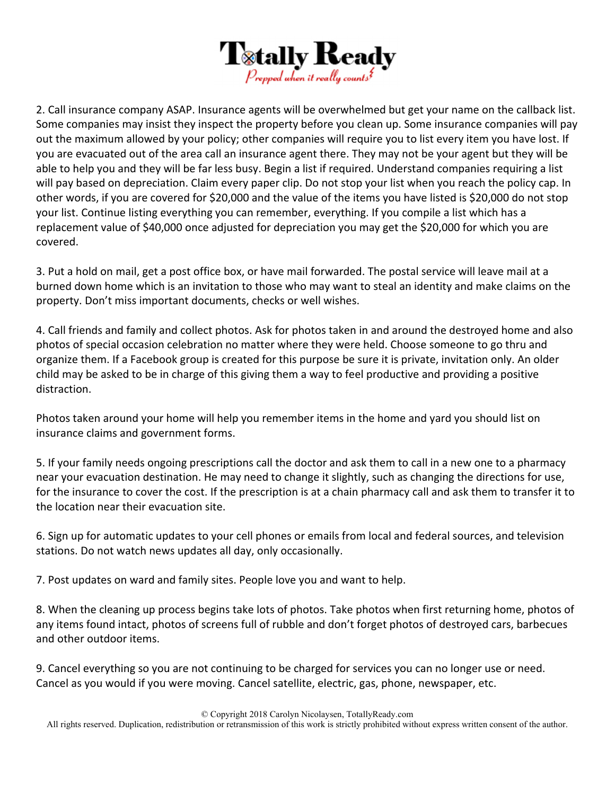

2. Call insurance company ASAP. Insurance agents will be overwhelmed but get your name on the callback list. Some companies may insist they inspect the property before you clean up. Some insurance companies will pay out the maximum allowed by your policy; other companies will require you to list every item you have lost. If you are evacuated out of the area call an insurance agent there. They may not be your agent but they will be able to help you and they will be far less busy. Begin a list if required. Understand companies requiring a list will pay based on depreciation. Claim every paper clip. Do not stop your list when you reach the policy cap. In other words, if you are covered for \$20,000 and the value of the items you have listed is \$20,000 do not stop your list. Continue listing everything you can remember, everything. If you compile a list which has a replacement value of \$40,000 once adjusted for depreciation you may get the \$20,000 for which you are covered.

3. Put a hold on mail, get a post office box, or have mail forwarded. The postal service will leave mail at a burned down home which is an invitation to those who may want to steal an identity and make claims on the property. Don't miss important documents, checks or well wishes.

4. Call friends and family and collect photos. Ask for photos taken in and around the destroyed home and also photos of special occasion celebration no matter where they were held. Choose someone to go thru and organize them. If a Facebook group is created for this purpose be sure it is private, invitation only. An older child may be asked to be in charge of this giving them a way to feel productive and providing a positive distraction.

Photos taken around your home will help you remember items in the home and yard you should list on insurance claims and government forms.

5. If your family needs ongoing prescriptions call the doctor and ask them to call in a new one to a pharmacy near your evacuation destination. He may need to change it slightly, such as changing the directions for use, for the insurance to cover the cost. If the prescription is at a chain pharmacy call and ask them to transfer it to the location near their evacuation site.

6. Sign up for automatic updates to your cell phones or emails from local and federal sources, and television stations. Do not watch news updates all day, only occasionally.

7. Post updates on ward and family sites. People love you and want to help.

8. When the cleaning up process begins take lots of photos. Take photos when first returning home, photos of any items found intact, photos of screens full of rubble and don't forget photos of destroyed cars, barbecues and other outdoor items.

9. Cancel everything so you are not continuing to be charged for services you can no longer use or need. Cancel as you would if you were moving. Cancel satellite, electric, gas, phone, newspaper, etc.

© Copyright 2018 Carolyn Nicolaysen, TotallyReady.com

All rights reserved. Duplication, redistribution or retransmission of this work is strictly prohibited without express written consent of the author.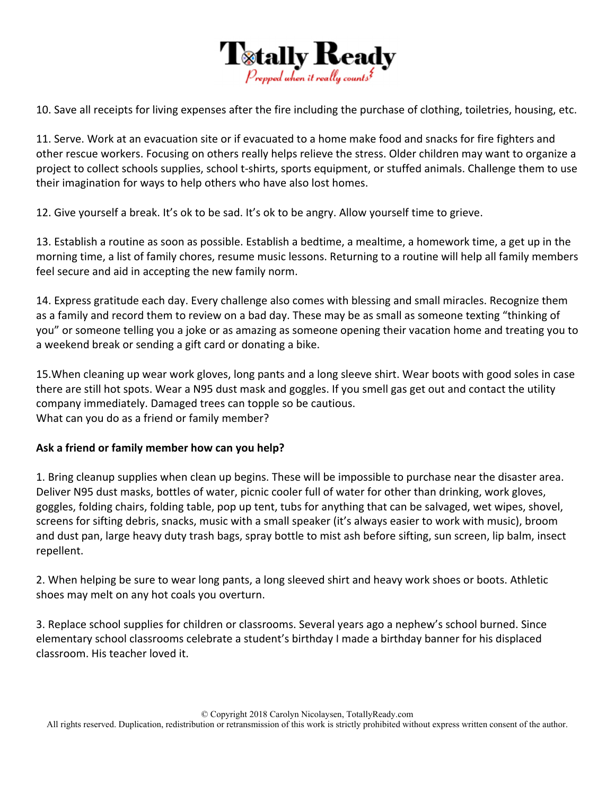

10. Save all receipts for living expenses after the fire including the purchase of clothing, toiletries, housing, etc.

11. Serve. Work at an evacuation site or if evacuated to a home make food and snacks for fire fighters and other rescue workers. Focusing on others really helps relieve the stress. Older children may want to organize a project to collect schools supplies, school t‐shirts, sports equipment, or stuffed animals. Challenge them to use their imagination for ways to help others who have also lost homes.

12. Give yourself a break. It's ok to be sad. It's ok to be angry. Allow yourself time to grieve.

13. Establish a routine as soon as possible. Establish a bedtime, a mealtime, a homework time, a get up in the morning time, a list of family chores, resume music lessons. Returning to a routine will help all family members feel secure and aid in accepting the new family norm.

14. Express gratitude each day. Every challenge also comes with blessing and small miracles. Recognize them as a family and record them to review on a bad day. These may be as small as someone texting "thinking of you" or someone telling you a joke or as amazing as someone opening their vacation home and treating you to a weekend break or sending a gift card or donating a bike.

15.When cleaning up wear work gloves, long pants and a long sleeve shirt. Wear boots with good soles in case there are still hot spots. Wear a N95 dust mask and goggles. If you smell gas get out and contact the utility company immediately. Damaged trees can topple so be cautious. What can you do as a friend or family member?

## **Ask a friend or family member how can you help?**

1. Bring cleanup supplies when clean up begins. These will be impossible to purchase near the disaster area. Deliver N95 dust masks, bottles of water, picnic cooler full of water for other than drinking, work gloves, goggles, folding chairs, folding table, pop up tent, tubs for anything that can be salvaged, wet wipes, shovel, screens for sifting debris, snacks, music with a small speaker (it's always easier to work with music), broom and dust pan, large heavy duty trash bags, spray bottle to mist ash before sifting, sun screen, lip balm, insect repellent.

2. When helping be sure to wear long pants, a long sleeved shirt and heavy work shoes or boots. Athletic shoes may melt on any hot coals you overturn.

3. Replace school supplies for children or classrooms. Several years ago a nephew's school burned. Since elementary school classrooms celebrate a student's birthday I made a birthday banner for his displaced classroom. His teacher loved it.

© Copyright 2018 Carolyn Nicolaysen, TotallyReady.com